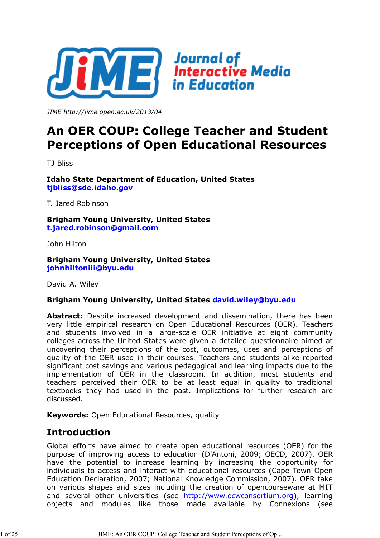

*JIME http://jime.open.ac.uk/2013/04*

# **An OER COUP: College Teacher and Student Perceptions of Open Educational Resources**

TJ Bliss

**Idaho State Department of Education, United States tjbliss@sde.idaho.gov**

T. Jared Robinson

**Brigham Young University, United States t.jared.robinson@gmail.com**

John Hilton

**Brigham Young University, United States johnhiltoniii@byu.edu**

David A. Wiley

#### **Brigham Young University, United States david.wiley@byu.edu**

Abstract: Despite increased development and dissemination, there has been very little empirical research on Open Educational Resources (OER). Teachers and students involved in a large-scale OER initiative at eight community colleges across the United States were given a detailed questionnaire aimed at uncovering their perceptions of the cost, outcomes, uses and perceptions of quality of the OER used in their courses. Teachers and students alike reported significant cost savings and various pedagogical and learning impacts due to the implementation of OER in the classroom. In addition, most students and teachers perceived their OER to be at least equal in quality to traditional textbooks they had used in the past. Implications for further research are discussed.

**Keywords:** Open Educational Resources, quality

### **Introduction**

Global efforts have aimed to create open educational resources (OER) for the purpose of improving access to education (D'Antoni, 2009; OECD, 2007). OER have the potential to increase learning by increasing the opportunity for individuals to access and interact with educational resources (Cape Town Open Education Declaration, 2007; National Knowledge Commission, 2007). OER take on various shapes and sizes including the creation of opencourseware at MIT and several other universities (see http://www.ocwconsortium.org), learning objects and modules like those made available by Connexions (see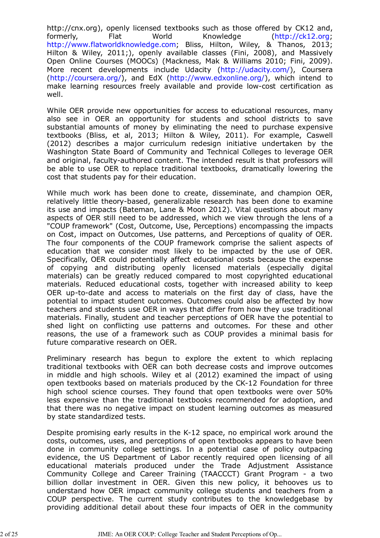http://cnx.org), openly licensed textbooks such as those offered by CK12 and, formerly, Flat World Knowledge (http://ck12.org; http://www.flatworldknowledge.com; Bliss, Hilton, Wiley, & Thanos, 2013; Hilton & Wiley, 2011;), openly available classes (Fini, 2008), and Massively Open Online Courses (MOOCs) (Mackness, Mak & Williams 2010; Fini, 2009). More recent developments include Udacity (http://udacity.com/), Coursera (http://coursera.org/), and EdX (http://www.edxonline.org/), which intend to make learning resources freely available and provide low-cost certification as well.

While OER provide new opportunities for access to educational resources, many also see in OER an opportunity for students and school districts to save substantial amounts of money by eliminating the need to purchase expensive textbooks (Bliss, et al, 2013; Hilton & Wiley, 2011). For example, Caswell (2012) describes a major curriculum redesign initiative undertaken by the Washington State Board of Community and Technical Colleges to leverage OER and original, faculty-authored content. The intended result is that professors will be able to use OER to replace traditional textbooks, dramatically lowering the cost that students pay for their education.

While much work has been done to create, disseminate, and champion OER, relatively little theory-based, generalizable research has been done to examine its use and impacts (Bateman, Lane & Moon 2012). Vital questions about many aspects of OER still need to be addressed, which we view through the lens of a "COUP framework" (Cost, Outcome, Use, Perceptions) encompassing the impacts on Cost, impact on Outcomes, Use patterns, and Perceptions of quality of OER. The four components of the COUP framework comprise the salient aspects of education that we consider most likely to be impacted by the use of OER. Specifically, OER could potentially affect educational costs because the expense of copying and distributing openly licensed materials (especially digital materials) can be greatly reduced compared to most copyrighted educational materials. Reduced educational costs, together with increased ability to keep OER up-to-date and access to materials on the first day of class, have the potential to impact student outcomes. Outcomes could also be affected by how teachers and students use OER in ways that differ from how they use traditional materials. Finally, student and teacher perceptions of OER have the potential to shed light on conflicting use patterns and outcomes. For these and other reasons, the use of a framework such as COUP provides a minimal basis for future comparative research on OER.

Preliminary research has begun to explore the extent to which replacing traditional textbooks with OER can both decrease costs and improve outcomes in middle and high schools. Wiley et al (2012) examined the impact of using open textbooks based on materials produced by the CK-12 Foundation for three high school science courses. They found that open textbooks were over 50% less expensive than the traditional textbooks recommended for adoption, and that there was no negative impact on student learning outcomes as measured by state standardized tests.

Despite promising early results in the K-12 space, no empirical work around the costs, outcomes, uses, and perceptions of open textbooks appears to have been done in community college settings. In a potential case of policy outpacing evidence, the US Department of Labor recently required open licensing of all educational materials produced under the Trade Adjustment Assistance Community College and Career Training (TAACCCT) Grant Program - a two billion dollar investment in OER. Given this new policy, it behooves us to understand how OER impact community college students and teachers from a COUP perspective. The current study contributes to the knowledgebase by providing additional detail about these four impacts of OER in the community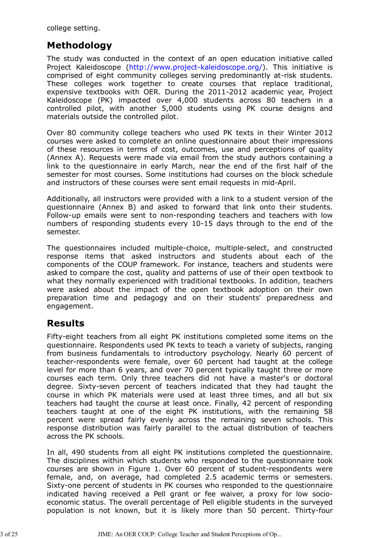college setting.

## **Methodology**

The study was conducted in the context of an open education initiative called Project Kaleidoscope (http://www.project-kaleidoscope.org/). This initiative is comprised of eight community colleges serving predominantly at-risk students. These colleges work together to create courses that replace traditional, expensive textbooks with OER. During the 2011-2012 academic year, Project Kaleidoscope (PK) impacted over 4,000 students across 80 teachers in a controlled pilot, with another 5,000 students using PK course designs and materials outside the controlled pilot.

Over 80 community college teachers who used PK texts in their Winter 2012 courses were asked to complete an online questionnaire about their impressions of these resources in terms of cost, outcomes, use and perceptions of quality (Annex A). Requests were made via email from the study authors containing a link to the questionnaire in early March, near the end of the first half of the semester for most courses. Some institutions had courses on the block schedule and instructors of these courses were sent email requests in mid-April.

Additionally, all instructors were provided with a link to a student version of the questionnaire (Annex B) and asked to forward that link onto their students. Follow-up emails were sent to non-responding teachers and teachers with low numbers of responding students every 10-15 days through to the end of the semester.

The questionnaires included multiple-choice, multiple-select, and constructed response items that asked instructors and students about each of the components of the COUP framework. For instance, teachers and students were asked to compare the cost, quality and patterns of use of their open textbook to what they normally experienced with traditional textbooks. In addition, teachers were asked about the impact of the open textbook adoption on their own preparation time and pedagogy and on their students' preparedness and engagement.

### **Results**

Fifty-eight teachers from all eight PK institutions completed some items on the questionnaire. Respondents used PK texts to teach a variety of subjects, ranging from business fundamentals to introductory psychology. Nearly 60 percent of teacher-respondents were female, over 60 percent had taught at the college level for more than 6 years, and over 70 percent typically taught three or more courses each term. Only three teachers did not have a master's or doctoral degree. Sixty-seven percent of teachers indicated that they had taught the course in which PK materials were used at least three times, and all but six teachers had taught the course at least once. Finally, 42 percent of responding teachers taught at one of the eight PK institutions, with the remaining 58 percent were spread fairly evenly across the remaining seven schools. This response distribution was fairly parallel to the actual distribution of teachers across the PK schools.

In all, 490 students from all eight PK institutions completed the questionnaire. The disciplines within which students who responded to the questionnaire took courses are shown in Figure 1. Over 60 percent of student-respondents were female, and, on average, had completed 2.5 academic terms or semesters. Sixty-one percent of students in PK courses who responded to the questionnaire indicated having received a Pell grant or fee waiver, a proxy for low socioeconomic status. The overall percentage of Pell eligible students in the surveyed population is not known, but it is likely more than 50 percent. Thirty-four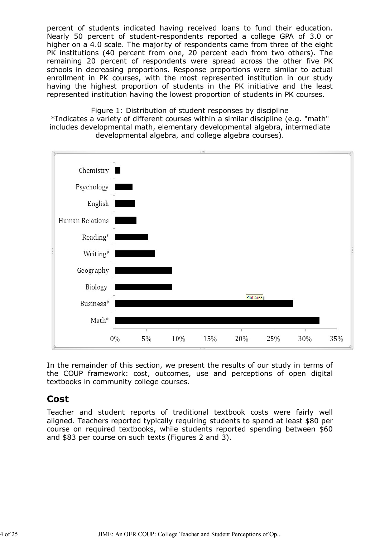percent of students indicated having received loans to fund their education. Nearly 50 percent of student-respondents reported a college GPA of 3.0 or higher on a 4.0 scale. The majority of respondents came from three of the eight PK institutions (40 percent from one, 20 percent each from two others). The remaining 20 percent of respondents were spread across the other five PK schools in decreasing proportions. Response proportions were similar to actual enrollment in PK courses, with the most represented institution in our study having the highest proportion of students in the PK initiative and the least represented institution having the lowest proportion of students in PK courses.

Figure 1: Distribution of student responses by discipline \*Indicates a variety of different courses within a similar discipline (e.g. "math" includes developmental math, elementary developmental algebra, intermediate developmental algebra, and college algebra courses).



In the remainder of this section, we present the results of our study in terms of the COUP framework: cost, outcomes, use and perceptions of open digital textbooks in community college courses.

### **Cost**

Teacher and student reports of traditional textbook costs were fairly well aligned. Teachers reported typically requiring students to spend at least \$80 per course on required textbooks, while students reported spending between \$60 and \$83 per course on such texts (Figures 2 and 3).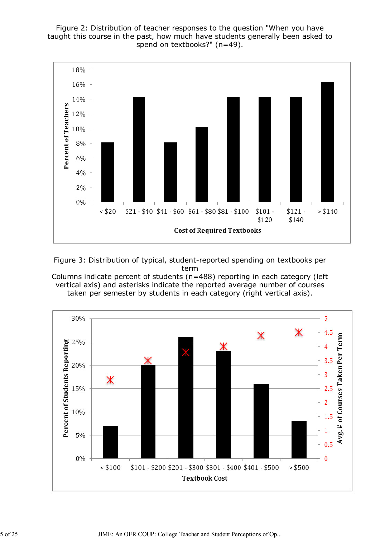Figure 2: Distribution of teacher responses to the question "When you have taught this course in the past, how much have students generally been asked to spend on textbooks?" (n=49).



Figure 3: Distribution of typical, student-reported spending on textbooks per term

Columns indicate percent of students (n=488) reporting in each category (left vertical axis) and asterisks indicate the reported average number of courses taken per semester by students in each category (right vertical axis).



5 of 25 JIME: An OER COUP: College Teacher and Student Perceptions of Op...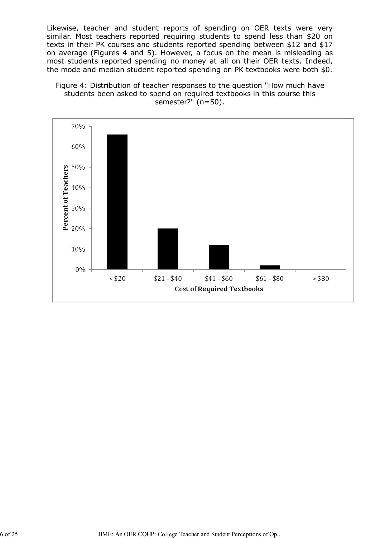Likewise, teacher and student reports of spending on OER texts were very similar. Most teachers reported requiring students to spend less than \$20 on texts in their PK courses and students reported spending between \$12 and \$17 on average (Figures 4 and 5). However, a focus on the mean is misleading as most students reported spending no money at all on their OER texts. Indeed, the mode and median student reported spending on PK textbooks were both \$0.



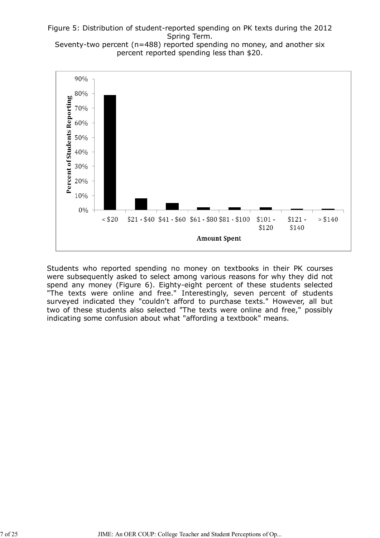#### Figure 5: Distribution of student-reported spending on PK texts during the 2012 Spring Term.

Seventy-two percent (n=488) reported spending no money, and another six percent reported spending less than \$20.



Students who reported spending no money on textbooks in their PK courses were subsequently asked to select among various reasons for why they did not spend any money (Figure 6). Eighty-eight percent of these students selected "The texts were online and free." Interestingly, seven percent of students surveyed indicated they "couldn't afford to purchase texts." However, all but two of these students also selected "The texts were online and free," possibly indicating some confusion about what "affording a textbook" means.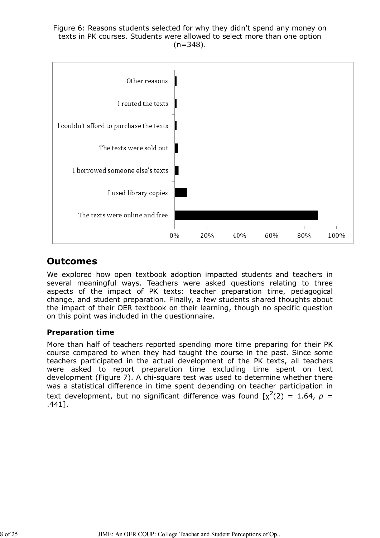Figure 6: Reasons students selected for why they didn't spend any money on texts in PK courses. Students were allowed to select more than one option  $(n=348)$ .



### **Outcomes**

We explored how open textbook adoption impacted students and teachers in several meaningful ways. Teachers were asked questions relating to three aspects of the impact of PK texts: teacher preparation time, pedagogical change, and student preparation. Finally, a few students shared thoughts about the impact of their OER textbook on their learning, though no specific question on this point was included in the questionnaire.

### **Preparation time**

More than half of teachers reported spending more time preparing for their PK course compared to when they had taught the course in the past. Since some teachers participated in the actual development of the PK texts, all teachers were asked to report preparation time excluding time spent on text development (Figure 7). A chi-square test was used to determine whether there was a statistical difference in time spent depending on teacher participation in text development, but no significant difference was found  $[\chi^2(2) = 1.64, p =$ .441].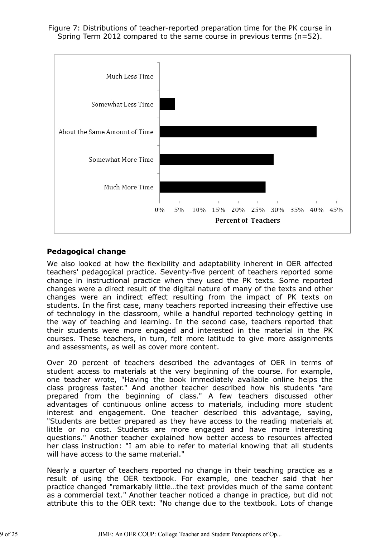Figure 7: Distributions of teacher-reported preparation time for the PK course in Spring Term 2012 compared to the same course in previous terms (n=52).



### **Pedagogical change**

We also looked at how the flexibility and adaptability inherent in OER affected teachers' pedagogical practice. Seventy-five percent of teachers reported some change in instructional practice when they used the PK texts. Some reported changes were a direct result of the digital nature of many of the texts and other changes were an indirect effect resulting from the impact of PK texts on students. In the first case, many teachers reported increasing their effective use of technology in the classroom, while a handful reported technology getting in the way of teaching and learning. In the second case, teachers reported that their students were more engaged and interested in the material in the PK courses. These teachers, in turn, felt more latitude to give more assignments and assessments, as well as cover more content.

Over 20 percent of teachers described the advantages of OER in terms of student access to materials at the very beginning of the course. For example, one teacher wrote, "Having the book immediately available online helps the class progress faster." And another teacher described how his students "are prepared from the beginning of class." A few teachers discussed other advantages of continuous online access to materials, including more student interest and engagement. One teacher described this advantage, saying, "Students are better prepared as they have access to the reading materials at little or no cost. Students are more engaged and have more interesting questions." Another teacher explained how better access to resources affected her class instruction: "I am able to refer to material knowing that all students will have access to the same material."

Nearly a quarter of teachers reported no change in their teaching practice as a result of using the OER textbook. For example, one teacher said that her practice changed "remarkably little…the text provides much of the same content as a commercial text." Another teacher noticed a change in practice, but did not attribute this to the OER text: "No change due to the textbook. Lots of change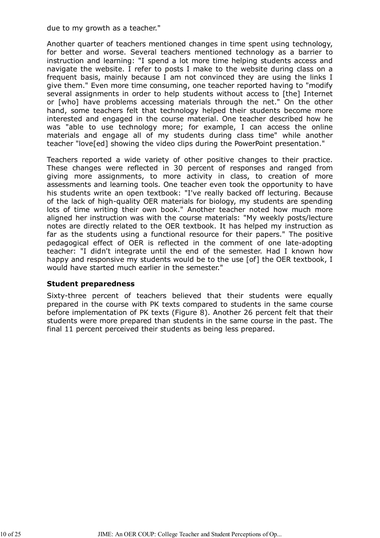due to my growth as a teacher."

Another quarter of teachers mentioned changes in time spent using technology, for better and worse. Several teachers mentioned technology as a barrier to instruction and learning: "I spend a lot more time helping students access and navigate the website. I refer to posts I make to the website during class on a frequent basis, mainly because I am not convinced they are using the links I give them." Even more time consuming, one teacher reported having to "modify several assignments in order to help students without access to [the] Internet or [who] have problems accessing materials through the net." On the other hand, some teachers felt that technology helped their students become more interested and engaged in the course material. One teacher described how he was "able to use technology more; for example, I can access the online materials and engage all of my students during class time" while another teacher "love[ed] showing the video clips during the PowerPoint presentation."

Teachers reported a wide variety of other positive changes to their practice. These changes were reflected in 30 percent of responses and ranged from giving more assignments, to more activity in class, to creation of more assessments and learning tools. One teacher even took the opportunity to have his students write an open textbook: "I've really backed off lecturing. Because of the lack of high-quality OER materials for biology, my students are spending lots of time writing their own book." Another teacher noted how much more aligned her instruction was with the course materials: "My weekly posts/lecture notes are directly related to the OER textbook. It has helped my instruction as far as the students using a functional resource for their papers." The positive pedagogical effect of OER is reflected in the comment of one late-adopting teacher: "I didn't integrate until the end of the semester. Had I known how happy and responsive my students would be to the use [of] the OER textbook, I would have started much earlier in the semester."

#### **Student preparedness**

Sixty-three percent of teachers believed that their students were equally prepared in the course with PK texts compared to students in the same course before implementation of PK texts (Figure 8). Another 26 percent felt that their students were more prepared than students in the same course in the past. The final 11 percent perceived their students as being less prepared.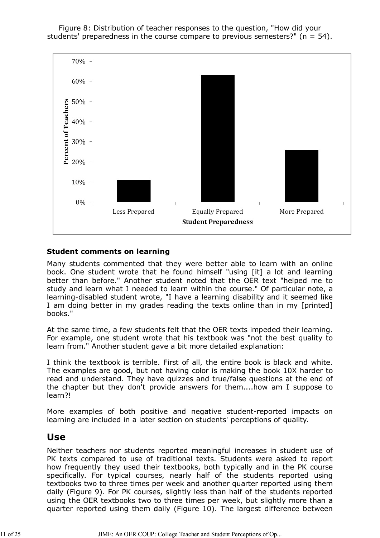Figure 8: Distribution of teacher responses to the question, "How did your students' preparedness in the course compare to previous semesters?" ( $n = 54$ ).



#### **Student comments on learning**

Many students commented that they were better able to learn with an online book. One student wrote that he found himself "using [it] a lot and learning better than before." Another student noted that the OER text "helped me to study and learn what I needed to learn within the course." Of particular note, a learning-disabled student wrote, "I have a learning disability and it seemed like I am doing better in my grades reading the texts online than in my [printed] books."

At the same time, a few students felt that the OER texts impeded their learning. For example, one student wrote that his textbook was "not the best quality to learn from." Another student gave a bit more detailed explanation:

I think the textbook is terrible. First of all, the entire book is black and white. The examples are good, but not having color is making the book 10X harder to read and understand. They have quizzes and true/false questions at the end of the chapter but they don't provide answers for them....how am I suppose to learn?!

More examples of both positive and negative student-reported impacts on learning are included in a later section on students' perceptions of quality.

### **Use**

Neither teachers nor students reported meaningful increases in student use of PK texts compared to use of traditional texts. Students were asked to report how frequently they used their textbooks, both typically and in the PK course specifically. For typical courses, nearly half of the students reported using textbooks two to three times per week and another quarter reported using them daily (Figure 9). For PK courses, slightly less than half of the students reported using the OER textbooks two to three times per week, but slightly more than a quarter reported using them daily (Figure 10). The largest difference between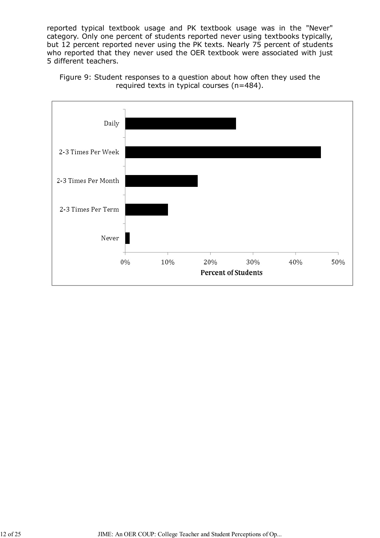reported typical textbook usage and PK textbook usage was in the "Never" category. Only one percent of students reported never using textbooks typically, but 12 percent reported never using the PK texts. Nearly 75 percent of students who reported that they never used the OER textbook were associated with just 5 different teachers.



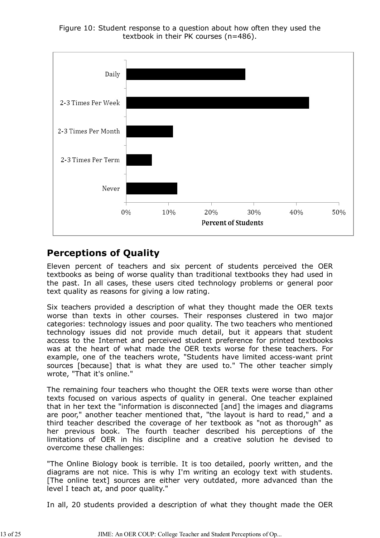Figure 10: Student response to a question about how often they used the textbook in their PK courses (n=486).



# **Perceptions of Quality**

Eleven percent of teachers and six percent of students perceived the OER textbooks as being of worse quality than traditional textbooks they had used in the past. In all cases, these users cited technology problems or general poor text quality as reasons for giving a low rating.

Six teachers provided a description of what they thought made the OER texts worse than texts in other courses. Their responses clustered in two major categories: technology issues and poor quality. The two teachers who mentioned technology issues did not provide much detail, but it appears that student access to the Internet and perceived student preference for printed textbooks was at the heart of what made the OER texts worse for these teachers. For example, one of the teachers wrote, "Students have limited access-want print sources [because] that is what they are used to." The other teacher simply wrote, "That it's online."

The remaining four teachers who thought the OER texts were worse than other texts focused on various aspects of quality in general. One teacher explained that in her text the "information is disconnected [and] the images and diagrams are poor," another teacher mentioned that, "the layout is hard to read," and a third teacher described the coverage of her textbook as "not as thorough" as her previous book. The fourth teacher described his perceptions of the limitations of OER in his discipline and a creative solution he devised to overcome these challenges:

"The Online Biology book is terrible. It is too detailed, poorly written, and the diagrams are not nice. This is why I'm writing an ecology text with students. [The online text] sources are either very outdated, more advanced than the level I teach at, and poor quality."

In all, 20 students provided a description of what they thought made the OER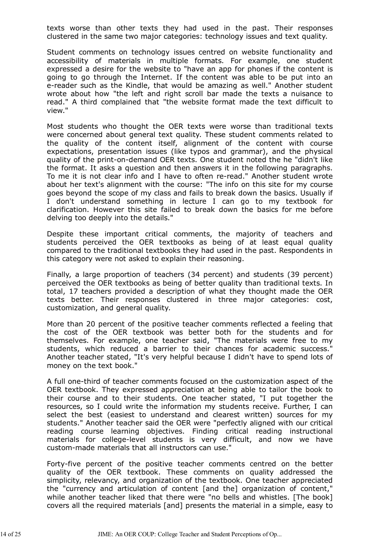texts worse than other texts they had used in the past. Their responses clustered in the same two major categories: technology issues and text quality.

Student comments on technology issues centred on website functionality and accessibility of materials in multiple formats. For example, one student expressed a desire for the website to "have an app for phones if the content is going to go through the Internet. If the content was able to be put into an e-reader such as the Kindle, that would be amazing as well." Another student wrote about how "the left and right scroll bar made the texts a nuisance to read." A third complained that "the website format made the text difficult to view."

Most students who thought the OER texts were worse than traditional texts were concerned about general text quality. These student comments related to the quality of the content itself, alignment of the content with course expectations, presentation issues (like typos and grammar), and the physical quality of the print-on-demand OER texts. One student noted the he "didn't like the format. It asks a question and then answers it in the following paragraphs. To me it is not clear info and I have to often re-read." Another student wrote about her text's alignment with the course: "The info on this site for my course goes beyond the scope of my class and fails to break down the basics. Usually if I don't understand something in lecture I can go to my textbook for clarification. However this site failed to break down the basics for me before delving too deeply into the details."

Despite these important critical comments, the majority of teachers and students perceived the OER textbooks as being of at least equal quality compared to the traditional textbooks they had used in the past. Respondents in this category were not asked to explain their reasoning.

Finally, a large proportion of teachers (34 percent) and students (39 percent) perceived the OER textbooks as being of better quality than traditional texts. In total, 17 teachers provided a description of what they thought made the OER texts better. Their responses clustered in three major categories: cost, customization, and general quality.

More than 20 percent of the positive teacher comments reflected a feeling that the cost of the OER textbook was better both for the students and for themselves. For example, one teacher said, "The materials were free to my students, which reduced a barrier to their chances for academic success." Another teacher stated, "It's very helpful because I didn't have to spend lots of money on the text book."

A full one-third of teacher comments focused on the customization aspect of the OER textbook. They expressed appreciation at being able to tailor the book to their course and to their students. One teacher stated, "I put together the resources, so I could write the information my students receive. Further, I can select the best (easiest to understand and clearest written) sources for my students." Another teacher said the OER were "perfectly aligned with our critical reading course learning objectives. Finding critical reading instructional materials for college-level students is very difficult, and now we have custom-made materials that all instructors can use."

Forty-five percent of the positive teacher comments centred on the better quality of the OER textbook. These comments on quality addressed the simplicity, relevancy, and organization of the textbook. One teacher appreciated the "currency and articulation of content [and the] organization of content," while another teacher liked that there were "no bells and whistles. [The book] covers all the required materials [and] presents the material in a simple, easy to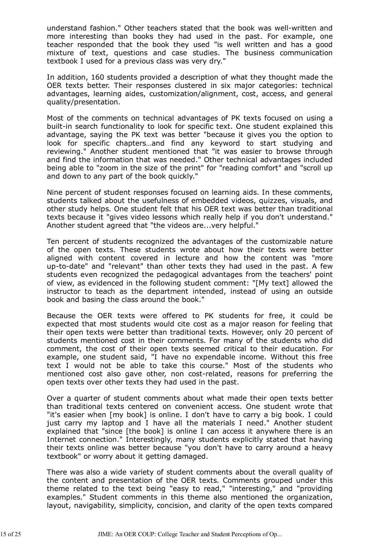understand fashion." Other teachers stated that the book was well-written and more interesting than books they had used in the past. For example, one teacher responded that the book they used "is well written and has a good mixture of text, questions and case studies. The business communication textbook I used for a previous class was very dry."

In addition, 160 students provided a description of what they thought made the OER texts better. Their responses clustered in six major categories: technical advantages, learning aides, customization/alignment, cost, access, and general quality/presentation.

Most of the comments on technical advantages of PK texts focused on using a built-in search functionality to look for specific text. One student explained this advantage, saying the PK text was better "because it gives you the option to look for specific chapters…and find any keyword to start studying and reviewing." Another student mentioned that "it was easier to browse through and find the information that was needed." Other technical advantages included being able to "zoom in the size of the print" for "reading comfort" and "scroll up and down to any part of the book quickly."

Nine percent of student responses focused on learning aids. In these comments, students talked about the usefulness of embedded videos, quizzes, visuals, and other study helps. One student felt that his OER text was better than traditional texts because it "gives video lessons which really help if you don't understand." Another student agreed that "the videos are...very helpful."

Ten percent of students recognized the advantages of the customizable nature of the open texts. These students wrote about how their texts were better aligned with content covered in lecture and how the content was "more up-to-date" and "relevant" than other texts they had used in the past. A few students even recognized the pedagogical advantages from the teachers' point of view, as evidenced in the following student comment: "[My text] allowed the instructor to teach as the department intended, instead of using an outside book and basing the class around the book."

Because the OER texts were offered to PK students for free, it could be expected that most students would cite cost as a major reason for feeling that their open texts were better than traditional texts. However, only 20 percent of students mentioned cost in their comments. For many of the students who did comment, the cost of their open texts seemed critical to their education. For example, one student said, "I have no expendable income. Without this free text I would not be able to take this course." Most of the students who mentioned cost also gave other, non cost-related, reasons for preferring the open texts over other texts they had used in the past.

Over a quarter of student comments about what made their open texts better than traditional texts centered on convenient access. One student wrote that "it's easier when [my book] is online. I don't have to carry a big book. I could just carry my laptop and I have all the materials I need." Another student explained that "since [the book] is online I can access it anywhere there is an Internet connection." Interestingly, many students explicitly stated that having their texts online was better because "you don't have to carry around a heavy textbook" or worry about it getting damaged.

There was also a wide variety of student comments about the overall quality of the content and presentation of the OER texts. Comments grouped under this theme related to the text being "easy to read," "interesting," and "providing examples." Student comments in this theme also mentioned the organization, layout, navigability, simplicity, concision, and clarity of the open texts compared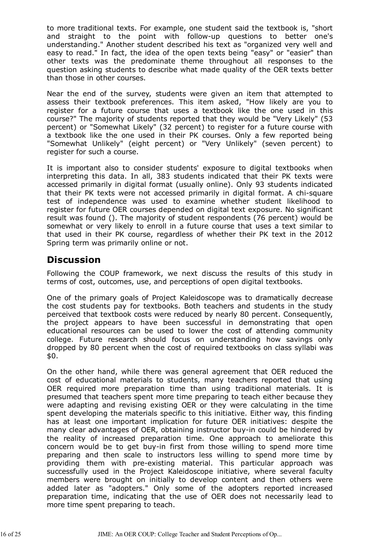to more traditional texts. For example, one student said the textbook is, "short and straight to the point with follow-up questions to better one's understanding." Another student described his text as "organized very well and easy to read." In fact, the idea of the open texts being "easy" or "easier" than other texts was the predominate theme throughout all responses to the question asking students to describe what made quality of the OER texts better than those in other courses.

Near the end of the survey, students were given an item that attempted to assess their textbook preferences. This item asked, "How likely are you to register for a future course that uses a textbook like the one used in this course?" The majority of students reported that they would be "Very Likely" (53 percent) or "Somewhat Likely" (32 percent) to register for a future course with a textbook like the one used in their PK courses. Only a few reported being "Somewhat Unlikely" (eight percent) or "Very Unlikely" (seven percent) to register for such a course.

It is important also to consider students' exposure to digital textbooks when interpreting this data. In all, 383 students indicated that their PK texts were accessed primarily in digital format (usually online). Only 93 students indicated that their PK texts were not accessed primarily in digital format. A chi-square test of independence was used to examine whether student likelihood to register for future OER courses depended on digital text exposure. No significant result was found (). The majority of student respondents (76 percent) would be somewhat or very likely to enroll in a future course that uses a text similar to that used in their PK course, regardless of whether their PK text in the 2012 Spring term was primarily online or not.

### **Discussion**

Following the COUP framework, we next discuss the results of this study in terms of cost, outcomes, use, and perceptions of open digital textbooks.

One of the primary goals of Project Kaleidoscope was to dramatically decrease the cost students pay for textbooks. Both teachers and students in the study perceived that textbook costs were reduced by nearly 80 percent. Consequently, the project appears to have been successful in demonstrating that open educational resources can be used to lower the cost of attending community college. Future research should focus on understanding how savings only dropped by 80 percent when the cost of required textbooks on class syllabi was \$0.

On the other hand, while there was general agreement that OER reduced the cost of educational materials to students, many teachers reported that using OER required more preparation time than using traditional materials. It is presumed that teachers spent more time preparing to teach either because they were adapting and revising existing OER or they were calculating in the time spent developing the materials specific to this initiative. Either way, this finding has at least one important implication for future OER initiatives: despite the many clear advantages of OER, obtaining instructor buy-in could be hindered by the reality of increased preparation time. One approach to ameliorate this concern would be to get buy-in first from those willing to spend more time preparing and then scale to instructors less willing to spend more time by providing them with pre-existing material. This particular approach was successfully used in the Project Kaleidoscope initiative, where several faculty members were brought on initially to develop content and then others were added later as "adopters." Only some of the adopters reported increased preparation time, indicating that the use of OER does not necessarily lead to more time spent preparing to teach.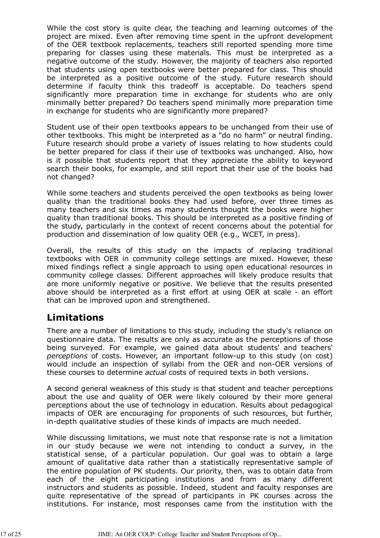While the cost story is quite clear, the teaching and learning outcomes of the project are mixed. Even after removing time spent in the upfront development of the OER textbook replacements, teachers still reported spending more time preparing for classes using these materials. This must be interpreted as a negative outcome of the study. However, the majority of teachers also reported that students using open textbooks were better prepared for class. This should be interpreted as a positive outcome of the study. Future research should determine if faculty think this tradeoff is acceptable. Do teachers spend significantly more preparation time in exchange for students who are only minimally better prepared? Do teachers spend minimally more preparation time in exchange for students who are significantly more prepared?

Student use of their open textbooks appears to be unchanged from their use of other textbooks. This might be interpreted as a "do no harm" or neutral finding. Future research should probe a variety of issues relating to how students could be better prepared for class if their use of textbooks was unchanged. Also, how is it possible that students report that they appreciate the ability to keyword search their books, for example, and still report that their use of the books had not changed?

While some teachers and students perceived the open textbooks as being lower quality than the traditional books they had used before, over three times as many teachers and six times as many students thought the books were higher quality than traditional books. This should be interpreted as a positive finding of the study, particularly in the context of recent concerns about the potential for production and dissemination of low quality OER (e.g., WCET, in press).

Overall, the results of this study on the impacts of replacing traditional textbooks with OER in community college settings are mixed. However, these mixed findings reflect a single approach to using open educational resources in community college classes. Different approaches will likely produce results that are more uniformly negative or positive. We believe that the results presented above should be interpreted as a first effort at using OER at scale - an effort that can be improved upon and strengthened.

# **Limitations**

There are a number of limitations to this study, including the study's reliance on questionnaire data. The results are only as accurate as the perceptions of those being surveyed. For example, we gained data about students' and teachers' *perceptions* of costs. However, an important follow-up to this study (on cost) would include an inspection of syllabi from the OER and non-OER versions of these courses to determine *actual* costs of required texts in both versions.

A second general weakness of this study is that student and teacher perceptions about the use and quality of OER were likely coloured by their more general perceptions about the use of technology in education. Results about pedagogical impacts of OER are encouraging for proponents of such resources, but further, in-depth qualitative studies of these kinds of impacts are much needed.

While discussing limitations, we must note that response rate is not a limitation in our study because we were not intending to conduct a survey, in the statistical sense, of a particular population. Our goal was to obtain a large amount of qualitative data rather than a statistically representative sample of the entire population of PK students. Our priority, then, was to obtain data from each of the eight participating institutions and from as many different instructors and students as possible. Indeed, student and faculty responses are quite representative of the spread of participants in PK courses across the institutions. For instance, most responses came from the institution with the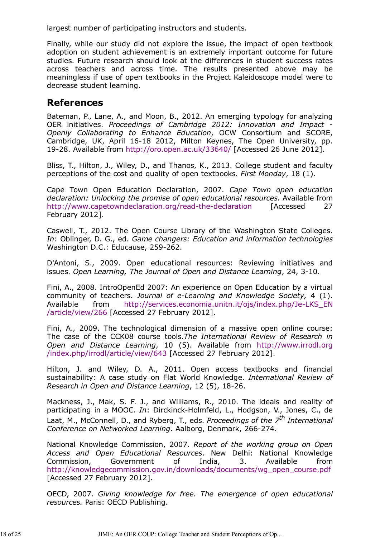largest number of participating instructors and students.

Finally, while our study did not explore the issue, the impact of open textbook adoption on student achievement is an extremely important outcome for future studies. Future research should look at the differences in student success rates across teachers and across time. The results presented above may be meaningless if use of open textbooks in the Project Kaleidoscope model were to decrease student learning.

### **References**

Bateman, P., Lane, A., and Moon, B., 2012. An emerging typology for analyzing OER initiatives. *Proceedings of Cambridge 2012: Innovation and Impact* - *Openly Collaborating to Enhance Education*, OCW Consortium and SCORE, Cambridge, UK, April 16-18 2012, Milton Keynes, The Open University, pp. 19-28. Available from http://oro.open.ac.uk/33640/ [Accessed 26 June 2012].

Bliss, T., Hilton, J., Wiley, D., and Thanos, K., 2013. College student and faculty perceptions of the cost and quality of open textbooks. *First Monday*, 18 (1).

Cape Town Open Education Declaration, 2007. *Cape Town open education declaration: Unlocking the promise of open educational resources.* Available from http://www.capetowndeclaration.org/read-the-declaration [Accessed 27 February 2012].

Caswell, T., 2012. The Open Course Library of the Washington State Colleges. *In*: Oblinger, D. G., ed. *Game changers: Education and information technologies* Washington D.C.: Educause, 259-262.

D'Antoni, S., 2009. Open educational resources: Reviewing initiatives and issues. *Open Learning, The Journal of Open and Distance Learning*, 24, 3-10.

Fini, A., 2008. IntroOpenEd 2007: An experience on Open Education by a virtual community of teachers. *Journal of e-Learning and Knowledge Society,* 4 (1). Available from http://services.economia.unitn.it/ojs/index.php/Je-LKS\_EN /article/view/266 [Accessed 27 February 2012].

Fini, A., 2009. The technological dimension of a massive open online course: The case of the CCK08 course tools.*The International Review of Research in Open and Distance Learning*, 10 (5). Available from http://www.irrodl.org /index.php/irrodl/article/view/643 [Accessed 27 February 2012].

Hilton, J. and Wiley, D. A., 2011. Open access textbooks and financial sustainability: A case study on Flat World Knowledge. *International Review of Research in Open and Distance Learning*, 12 (5), 18-26.

Mackness, J., Mak, S. F. J., and Williams, R., 2010. The ideals and reality of participating in a MOOC. *In*: Dirckinck-Holmfeld, L., Hodgson, V., Jones, C., de Laat, M., McConnell, D., and Ryberg, T., eds. *Proceedings of the 7th International Conference on Networked Learning*. Aalborg, Denmark, 266-274.

National Knowledge Commission, 2007. *Report of the working group on Open Access and Open Educational Resources*. New Delhi: National Knowledge Commission, Government of India, 3. Available from http://knowledgecommission.gov.in/downloads/documents/wg\_open\_course.pdf [Accessed 27 February 2012].

OECD, 2007. *Giving knowledge for free. The emergence of open educational resources.* Paris: OECD Publishing.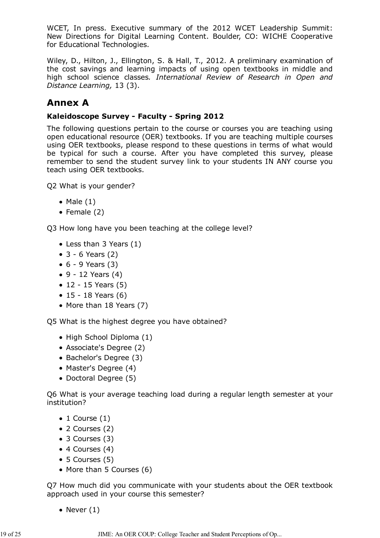WCET, In press. Executive summary of the 2012 WCET Leadership Summit: New Directions for Digital Learning Content. Boulder, CO: WICHE Cooperative for Educational Technologies.

Wiley, D., Hilton, J., Ellington, S. & Hall, T., 2012. A preliminary examination of the cost savings and learning impacts of using open textbooks in middle and high school science classes*. International Review of Research in Open and Distance Learning,* 13 (3).

# **Annex A**

### **Kaleidoscope Survey - Faculty - Spring 2012**

The following questions pertain to the course or courses you are teaching using open educational resource (OER) textbooks. If you are teaching multiple courses using OER textbooks, please respond to these questions in terms of what would be typical for such a course. After you have completed this survey, please remember to send the student survey link to your students IN ANY course you teach using OER textbooks.

Q2 What is your gender?

- $\bullet$  Male  $(1)$
- Female  $(2)$

Q3 How long have you been teaching at the college level?

- Less than 3 Years (1)
- 3 6 Years (2)
- $-6 9$  Years (3)
- $\bullet$  9 12 Years (4)
- $\bullet$  12 15 Years (5)
- $15 18$  Years (6)
- More than 18 Years (7)

Q5 What is the highest degree you have obtained?

- High School Diploma (1)
- Associate's Degree (2)
- Bachelor's Degree (3)
- Master's Degree (4)
- Doctoral Degree (5)

Q6 What is your average teaching load during a regular length semester at your institution?

- $\bullet$  1 Course (1)
- 2 Courses (2)
- 3 Courses (3)
- 4 Courses (4)
- 5 Courses (5)
- More than 5 Courses (6)

Q7 How much did you communicate with your students about the OER textbook approach used in your course this semester?

• Never  $(1)$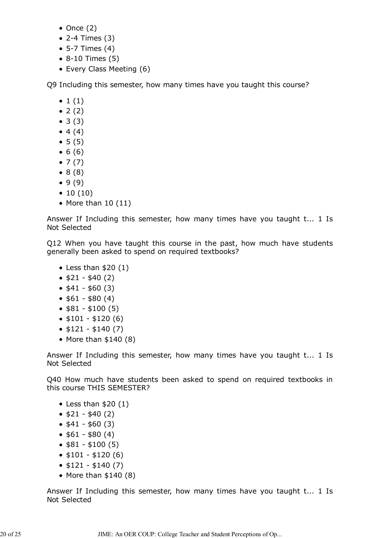- $\bullet$  Once (2)
- 2-4 Times (3)
- 5-7 Times (4)
- 8-10 Times (5)
- Every Class Meeting (6)

Q9 Including this semester, how many times have you taught this course?

- $\bullet$  1 (1)
- $2(2)$
- $3(3)$
- $4(4)$
- $5(5)$
- $6(6)$
- $\bullet$  7 (7)
- $8 (8)$
- $9(9)$
- $\bullet$  10 (10)
- $\bullet$  More than 10 (11)

Answer If Including this semester, how many times have you taught t... 1 Is Not Selected

Q12 When you have taught this course in the past, how much have students generally been asked to spend on required textbooks?

- $\bullet$  Less than \$20 (1)
- $\bullet$  \$21 \$40 (2)
- $\bullet$  \$41 \$60 (3)
- $$61 $80 (4)$
- $•$   $$81 $100 (5)$
- $\bullet$  \$101 \$120 (6)
- $\bullet$  \$121 \$140 (7)
- $\bullet$  More than \$140 (8)

Answer If Including this semester, how many times have you taught t... 1 Is Not Selected

Q40 How much have students been asked to spend on required textbooks in this course THIS SEMESTER?

- $\bullet$  Less than \$20 (1)
- $\bullet$  \$21 \$40 (2)
- $\bullet$  \$41 \$60 (3)
- $•$  \$61 \$80 (4)
- $\bullet$  \$81 \$100 (5)
- $\bullet$  \$101 \$120 (6)
- $\bullet$  \$121 \$140 (7)
- $\bullet$  More than  $$140 (8)$

Answer If Including this semester, how many times have you taught t... 1 Is Not Selected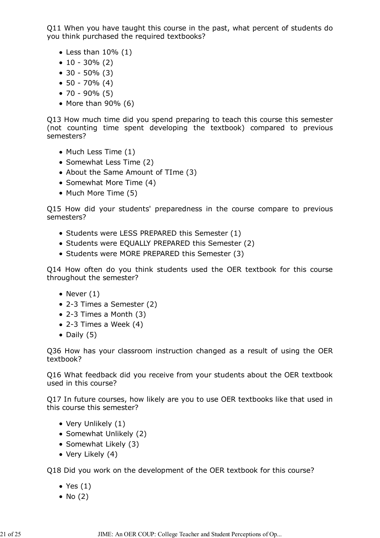Q11 When you have taught this course in the past, what percent of students do you think purchased the required textbooks?

- $\bullet$  Less than 10% (1)
- $\bullet$  10 30% (2)
- 30 50% (3)
- 50 70% (4)
- 70 90% (5)
- $\bullet$  More than 90% (6)

Q13 How much time did you spend preparing to teach this course this semester (not counting time spent developing the textbook) compared to previous semesters?

- Much Less Time (1)
- Somewhat Less Time (2)
- About the Same Amount of TIme (3)
- Somewhat More Time (4)
- Much More Time (5)

Q15 How did your students' preparedness in the course compare to previous semesters?

- Students were LESS PREPARED this Semester (1)
- Students were EQUALLY PREPARED this Semester (2)
- Students were MORE PREPARED this Semester (3)

Q14 How often do you think students used the OER textbook for this course throughout the semester?

- Never  $(1)$
- 2-3 Times a Semester (2)
- 2-3 Times a Month (3)
- $\bullet$  2-3 Times a Week (4)
- $\bullet$  Daily (5)

Q36 How has your classroom instruction changed as a result of using the OER textbook?

Q16 What feedback did you receive from your students about the OER textbook used in this course?

Q17 In future courses, how likely are you to use OER textbooks like that used in this course this semester?

- Very Unlikely (1)
- Somewhat Unlikely (2)
- Somewhat Likely (3)
- Very Likely (4)

Q18 Did you work on the development of the OER textbook for this course?

- $\bullet$  Yes  $(1)$
- $\bullet$  No (2)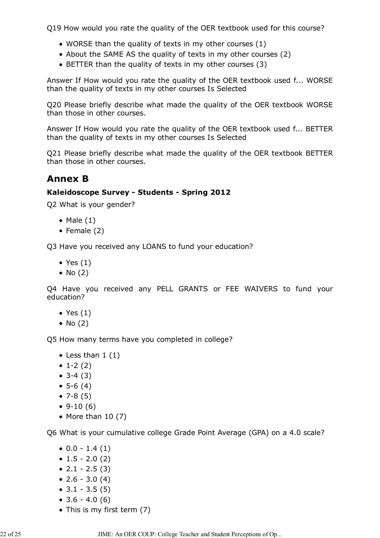Q19 How would you rate the quality of the OER textbook used for this course?

- WORSE than the quality of texts in my other courses (1)
- About the SAME AS the quality of texts in my other courses (2)
- BETTER than the quality of texts in my other courses (3)

Answer If How would you rate the quality of the OER textbook used f... WORSE than the quality of texts in my other courses Is Selected

Q20 Please briefly describe what made the quality of the OER textbook WORSE than those in other courses.

Answer If How would you rate the quality of the OER textbook used f... BETTER than the quality of texts in my other courses Is Selected

Q21 Please briefly describe what made the quality of the OER textbook BETTER than those in other courses.

# **Annex B**

### **Kaleidoscope Survey - Students - Spring 2012**

Q2 What is your gender?

- $\bullet$  Male  $(1)$
- Female  $(2)$

Q3 Have you received any LOANS to fund your education?

- $\bullet$  Yes  $(1)$
- $\bullet$  No (2)

Q4 Have you received any PELL GRANTS or FEE WAIVERS to fund your education?

- $\bullet$  Yes  $(1)$
- $\bullet$  No (2)

Q5 How many terms have you completed in college?

- Less than  $1(1)$
- $\bullet$  1-2 (2)
- $3-4(3)$
- $5-6(4)$
- $7-8(5)$
- $\bullet$  9-10 (6)
- $\bullet$  More than 10 (7)

Q6 What is your cumulative college Grade Point Average (GPA) on a 4.0 scale?

- $\bullet$  0.0 1.4 (1)
- $\bullet$  1.5 2.0 (2)
- $\bullet$  2.1 2.5 (3)
- $\bullet$  2.6 3.0 (4)
- $\bullet$  3.1 3.5 (5)
- $\bullet$  3.6 4.0 (6)
- This is my first term (7)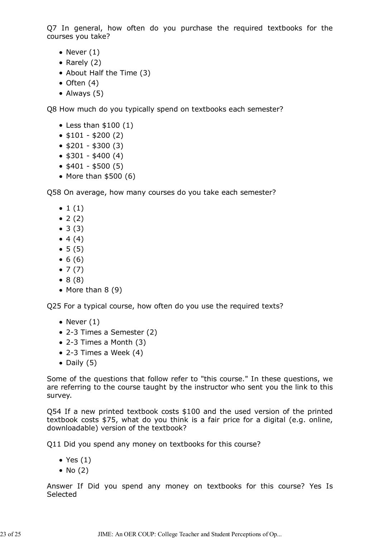Q7 In general, how often do you purchase the required textbooks for the courses you take?

- Never  $(1)$
- Rarely  $(2)$
- About Half the Time (3)
- $\bullet$  Often (4)
- Always (5)

Q8 How much do you typically spend on textbooks each semester?

- $\bullet$  Less than \$100 (1)
- $\bullet$  \$101 \$200 (2)
- $$201 $300 (3)$
- $\bullet$  \$301 \$400 (4)
- $\bullet$  \$401 \$500 (5)
- $\bullet$  More than \$500 (6)

Q58 On average, how many courses do you take each semester?

- $\bullet$  1 (1)
- $2(2)$
- $3(3)$
- $4(4)$
- $5(5)$
- $6(6)$
- $\bullet$  7 (7)
- $8 (8)$
- $\bullet$  More than 8 (9)

Q25 For a typical course, how often do you use the required texts?

- $\bullet$  Never (1)
- 2-3 Times a Semester (2)
- 2-3 Times a Month (3)
- $\bullet$  2-3 Times a Week (4)
- $\bullet$  Daily (5)

Some of the questions that follow refer to "this course." In these questions, we are referring to the course taught by the instructor who sent you the link to this survey.

Q54 If a new printed textbook costs \$100 and the used version of the printed textbook costs \$75, what do you think is a fair price for a digital (e.g. online, downloadable) version of the textbook?

Q11 Did you spend any money on textbooks for this course?

- $\bullet$  Yes  $(1)$
- $\bullet$  No (2)

Answer If Did you spend any money on textbooks for this course? Yes Is Selected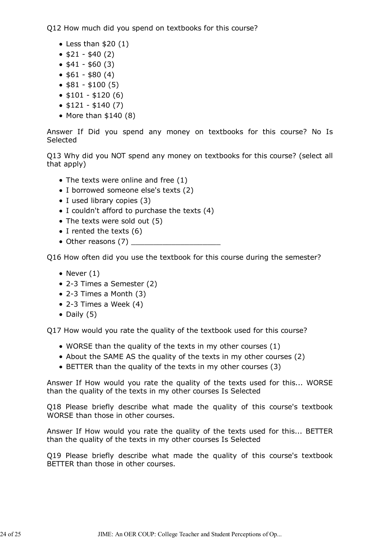Q12 How much did you spend on textbooks for this course?

- Less than  $$20 (1)$
- $\bullet$  \$21 \$40 (2)
- $\bullet$  \$41 \$60 (3)
- $$61 $80 (4)$
- $\bullet$  \$81 \$100 (5)
- $\bullet$  \$101 \$120 (6)
- $\bullet$  \$121 \$140 (7)
- $\bullet$  More than \$140 (8)

Answer If Did you spend any money on textbooks for this course? No Is Selected

Q13 Why did you NOT spend any money on textbooks for this course? (select all that apply)

- $\bullet$  The texts were online and free (1)
- I borrowed someone else's texts (2)
- I used library copies (3)
- $\bullet$  I couldn't afford to purchase the texts (4)
- The texts were sold out (5)
- $\bullet$  I rented the texts (6)
- $\bullet$  Other reasons (7)

Q16 How often did you use the textbook for this course during the semester?

- Never  $(1)$
- 2-3 Times a Semester (2)
- 2-3 Times a Month (3)
- $\bullet$  2-3 Times a Week (4)
- $\bullet$  Daily (5)

Q17 How would you rate the quality of the textbook used for this course?

- WORSE than the quality of the texts in my other courses (1)
- About the SAME AS the quality of the texts in my other courses (2)
- BETTER than the quality of the texts in my other courses (3)

Answer If How would you rate the quality of the texts used for this... WORSE than the quality of the texts in my other courses Is Selected

Q18 Please briefly describe what made the quality of this course's textbook WORSE than those in other courses.

Answer If How would you rate the quality of the texts used for this... BETTER than the quality of the texts in my other courses Is Selected

Q19 Please briefly describe what made the quality of this course's textbook BETTER than those in other courses.